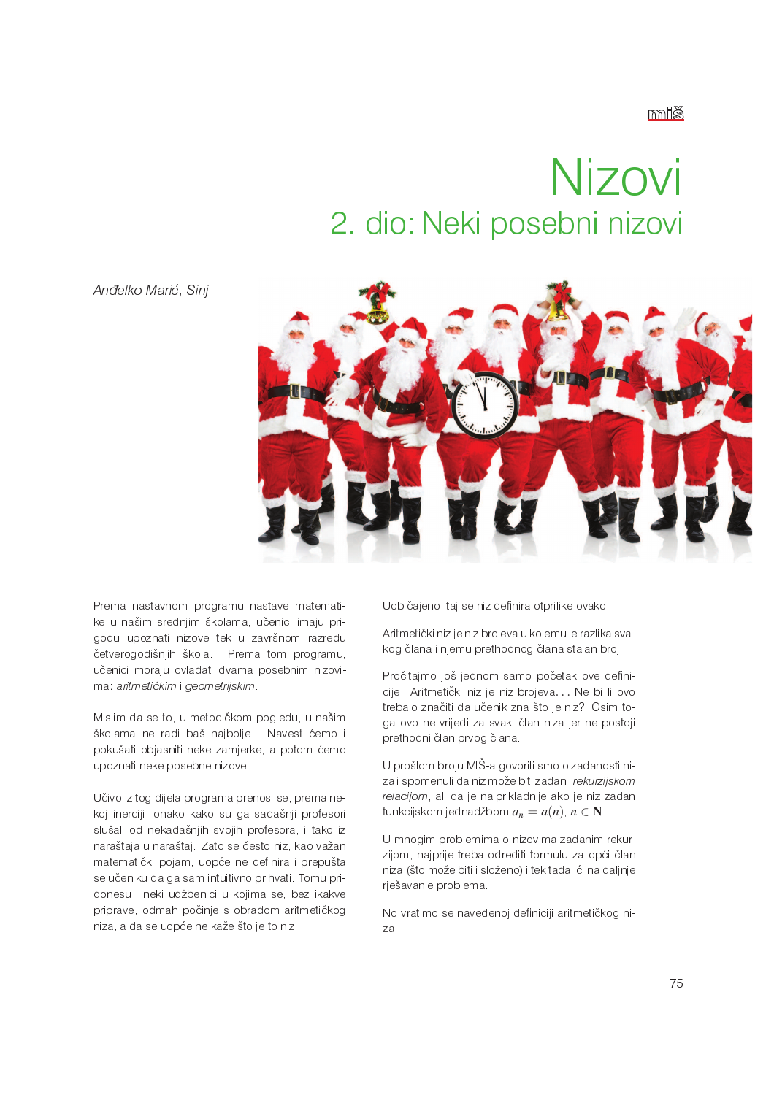## Nizovi 2. dio: Neki posebni nizovi

Anđelko Marić, Sinj



Prema nastavnom programu nastave matematike u našim srednjim školama, učenici imaju prigodu upoznati nizove tek u završnom razredu četverogodišnjih škola. Prema tom programu. učenici moraju ovladati dvama posebnim nizovima aritmetičkim i geometrijskim

Mislim da se to, u metodičkom pogledu, u našim školama ne radi baš najbolje. Navest ćemo i pokušati objasniti neke zamjerke, a potom ćemo upoznati neke posebne nizove.

Učivo iz tog dijela programa prenosi se, prema nekoj inerciji, onako kako su ga sadašnji profesori slušali od nekadašnjih svojih profesora, i tako iz naraštaja u naraštaj. Zato se često niz, kao važan matematički pojam, uopće ne definira i prepušta se učeniku da ga sam intuitivno prihvati. Tomu pridonesu i neki udžbenici u kojima se, bez ikakve priprave, odmah počinje s obradom aritmetičkog niza, a da se uopće ne kaže što je to niz.

Uobičajeno, taj se niz definira otprilike ovako:

Aritmetički niz je niz brojeva u kojemu je razlika svakog člana i njemu prethodnog člana stalan broj.

Pročitajmo još jednom samo početak ove definicije: Aritmetički niz je niz brojeva... Ne bi li ovo trebalo značiti da učenik zna što je niz? Osim toga ovo ne vrijedi za svaki član niza jer ne postoji prethodni član prvog člana.

U prošlom broju MIŠ-a govorili smo o zadanosti niza i spomenuli da niz može biti zadan i rekurzijskom relacijom, ali da je najprikladnije ako je niz zadan funkcijskom jednadžbom  $a_n = a(n)$ ,  $n \in \mathbb{N}$ .

U mnogim problemima o nizovima zadanim rekurzijom, najprije treba odrediti formulu za opći član niza (što može biti i složeno) i tek tada ići na daljnje rješavanje problema.

No vratimo se navedenoj definiciji aritmetičkog niza.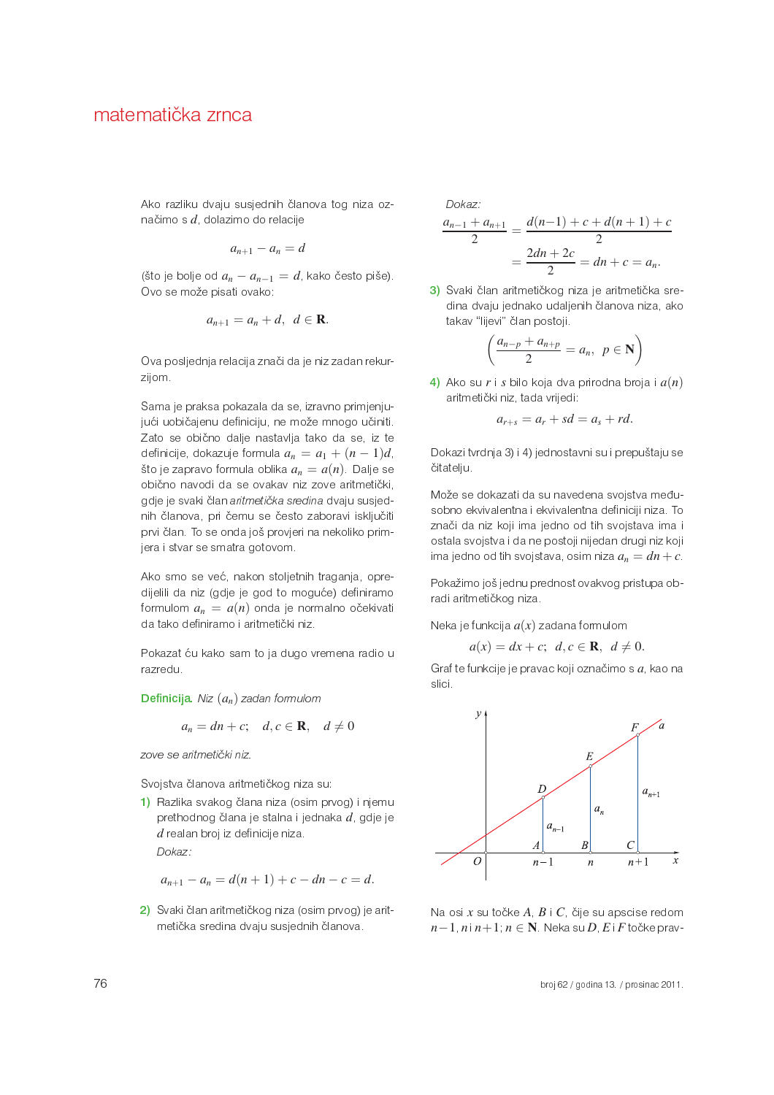Ako razliku dvaju susjednih članova tog niza označimo s  $d$ , dolazimo do relacije

$$
a_{n+1}-a_n=d
$$

(što je bolje od  $a_n - a_{n-1} = d$ , kako često piše). Ovo se može pisati ovako:

$$
a_{n+1}=a_n+d, \ d\in\mathbf{R}.
$$

Ova posljednja relacija znači da je niz zadan rekurzijom.

Sama je praksa pokazala da se, izravno primjenjujući uobičajenu definiciju, ne može mnogo učiniti. Zato se obično dalje nastavlja tako da se, iz te definicije, dokazuje formula  $a_n = a_1 + (n-1)d$ . što je zapravo formula oblika  $a_n = a(n)$ . Dalje se obično navodi da se ovakav niz zove aritmetički, gdje je svaki član aritmetička sredina dvaju susjednih članova, pri čemu se često zaboravi isključiti prvi član. To se onda još provjeri na nekoliko primjera i stvar se smatra gotovom.

Ako smo se već, nakon stoljetnih traganja, opredijelili da niz (gdje je god to moguće) definiramo formulom  $a_n = a(n)$  onda je normalno očekivati da tako definiramo i aritmetički niz.

Pokazat ću kako sam to ja dugo vremena radio u razredu.

**Definicija.** Niz  $(a_n)$  zadan formulom

$$
a_n = dn + c; \quad d, c \in \mathbf{R}, \quad d \neq 0
$$

zove se aritmetički niz.

Svojstva članova aritmetičkog niza su:

1) Razlika svakog člana niza (osim prvog) i njemu prethodnog člana je stalna i jednaka d, gdje je  $d$  realan broj iz definicije niza. Dokaz:

$$
a_{n+1} - a_n = d(n+1) + c - dn - c = d.
$$

2) Svaki član aritmetičkog niza (osim prvog) je aritmetička sredina dvaju susjednih članova.

Dokaz:

$$
\frac{a_{n-1} + a_{n+1}}{2} = \frac{d(n-1) + c + d(n+1) + c}{2}
$$

$$
= \frac{2dn + 2c}{2} = dn + c = a_n.
$$

3) Svaki član aritmetičkog niza je aritmetička sredina dvaju jednako udaljenih članova niza, ako takav "lijevi" član postoji.

$$
\left(\frac{a_{n-p}+a_{n+p}}{2}=a_n, p\in \mathbf{N}\right)
$$

4) Ako su r i s bilo koja dva prirodna broja i  $a(n)$ aritmetički niz, tada vrijedi:

$$
a_{r+s} = a_r + sd = a_s + rd.
$$

Dokazi tvrdnja 3) i 4) jednostavni su i prepuštaju se čitatelju.

Može se dokazati da su navedena svojstva međusobno ekvivalentna i ekvivalentna definiciji niza. To znači da niz koji ima jedno od tih svojstava ima i ostala svojstva i da ne postoji nijedan drugi niz koji ima jedno od tih svojstava, osim niza  $a_n = dn + c$ 

Pokažimo još jednu prednost ovakvog pristupa obradi aritmetičkog niza.

Neka je funkcija  $a(x)$  zadana formulom

$$
a(x) = dx + c; \ d, c \in \mathbb{R}, \ d \neq 0.
$$

Graf te funkcije je pravac koji označimo s a, kao na slici.



Na osi x su točke  $A, B \mid C$ , čije su apscise redom  $n-1$ ,  $n|n+1$ ,  $n \in \mathbb{N}$ . Neka su  $D$ ,  $E$  i  $F$  točke prav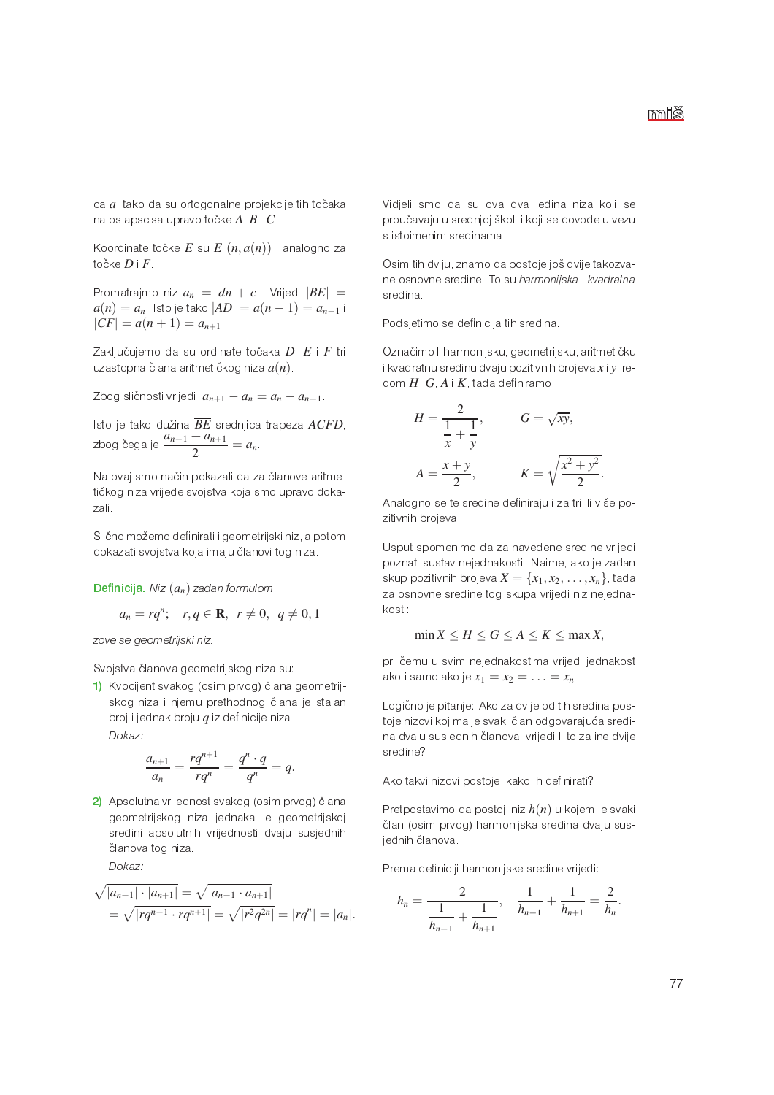ca a, tako da su ortogonalne projekcije tih točaka na os apscisa upravo točke  $A, B \, \vert \, C \rangle$ 

Koordinate točke  $E$  su  $E$   $(n,a(n))$  i analogno za točke  $D \perp F$ 

Promatrajmo niz  $a_n = dn + c$  Vrijedi  $|BE|$  =  $a(n) = a_n$  Isto je tako  $|AD| = a(n - 1) = a_{n-1}$  i  $|CF| = a(n + 1) = a_{n+1}$ 

Zaključujemo da su ordinate točaka D, E i F tri uzastopna člana aritmetičkog niza  $a(n)$ .

Zbog sličnosti vrijedi  $a_{n+1} - a_n = a_n - a_{n-1}$ .

Isto je tako dužina  $\overline{BE}$  srednjica trapeza ACFD. zbog čega je  $\frac{a_{n-1}+a_{n+1}}{2}=a_n$ 

Na ovaj smo način pokazali da za članove aritmetičkog niza vrijede svojstva koja smo upravo dokazali.

Slično možemo definirati i geometrijski niz, a potom dokazati svojstva koja imaju članovi tog niza.

**Definicija.** Niz  $(a_n)$  zadan formulom

$$
a_n = rq^n; \quad r, q \in \mathbf{R}, \ \ r \neq 0, \ \ q \neq 0, 1
$$

zove se geometrijski niz.

Svojstva članova geometrijskog niza su:

1) Kvocijent svakog (osim prvog) člana geometrijskog niza i njemu prethodnog člana je stalan broj i jednak broju  $q$  iz definicije niza. Dokaz:

$$
\frac{a_{n+1}}{a_n} = \frac{rq^{n+1}}{rq^n} = \frac{q^n \cdot q}{q^n} = q.
$$

2) Apsolutna vrijednost svakog (osim prvog) člana geometrijskog niza jednaka je geometrijskoj sredini apsolutnih vrijednosti dvaju susjednih članova tog niza

Dokaz:

$$
\sqrt{|a_{n-1}| \cdot |a_{n+1}|} = \sqrt{|a_{n-1} \cdot a_{n+1}|}
$$
  
=  $\sqrt{|rq^{n-1} \cdot rq^{n+1}|} = \sqrt{|r^2q^{2n}|} = |rq^n| = |a_n|$ .

Vidjeli smo da su ova dva jedina niza koji se proučavaju u srednjoj školi i koji se dovode u vezu s istoimenim sredinama.

Osim tih dviju, znamo da postoje još dvije takozvane osnovne sredine. To su harmonijska i kvadratna sredina

Podsjetimo se definicija tih sredina.

Označimo li harmonijsku, geometrijsku, aritmetičku i kvadratnu sredinu dvaju pozitivnih brojeva  $x$ i y redom  $H$ ,  $G$ ,  $A$  i  $K$ , tada definiramo:

$$
H = \frac{2}{\frac{1}{x} + \frac{1}{y}}, \qquad G = \sqrt{xy},
$$

$$
A = \frac{x + y}{2}, \qquad K = \sqrt{\frac{x^2 + y^2}{2}}
$$

Analogno se te sredine definiraju i za tri ili više pozitivnih brojeva.

Usput spomenimo da za navedene sredine vrijedi poznati sustav nejednakosti. Naime, ako je zadan skup pozitivnih brojeva  $X = \{x_1, x_2, \ldots, x_n\}$ , tada za osnovne sredine tog skupa vrijedi niz nejednakosti:

$$
\min X \le H \le G \le A \le K \le \max X
$$

pri čemu u svim nejednakostima vrijedi jednakost ako i samo ako je  $x_1 = x_2 = \ldots = x_n$ 

Logično je pitanje: Ako za dvije od tih sredina postoje nizovi kojima je svaki član odgovarajuća sredina dvaju susjednih članova, vrijedi li to za ine dvije sredine?

Ako takvi nizovi postoje, kako ih definirati?

Pretpostavimo da postoji niz  $h(n)$  u kojem je svaki član (osim prvog) harmonijska sredina dvaju susjednih članova.

Prema definiciji harmonijske sredine vrijedi:

$$
h_n = \frac{2}{\frac{1}{h_{n-1}} + \frac{1}{h_{n+1}}}, \quad \frac{1}{h_{n-1}} + \frac{1}{h_{n+1}} = \frac{2}{h_n}
$$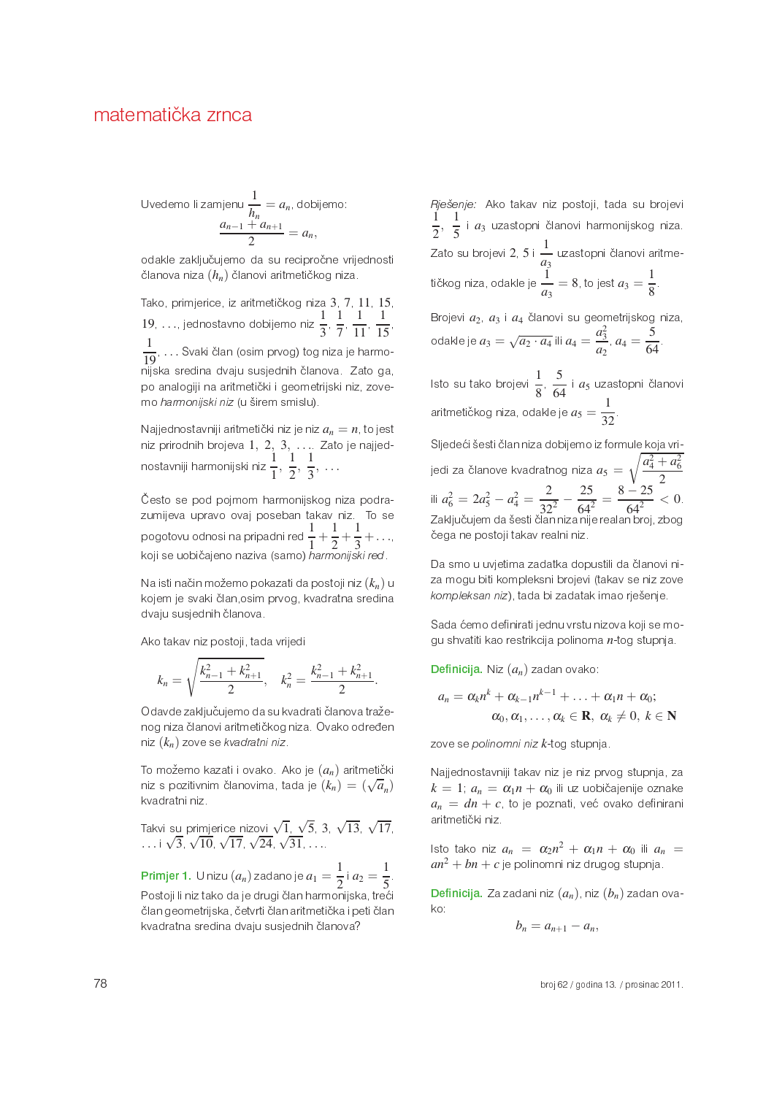Uvedemo li zamjenu 
$$
\frac{1}{h_n} = a_n
$$
, dobijemo:  

$$
\frac{a_{n-1} + a_{n+1}}{2} = a_n,
$$

odakle zaključujemo da su recipročne vrijednosti članova niza  $(h_n)$  članovi aritmetičkog niza.

Tako, primjerice, iz aritmetičkog niza 3, 7, 11, 15, 19. ..., jednostavno dobijemo niz $\frac{1}{3}$ ,  $\frac{1}{7}$ ,  $\frac{1}{11}$ ,  $\frac{1}{15}$  $\frac{1}{19}$ ... Svaki član (osim prvog) tog niza je harmonijska sredina dvaju susjednih članova. Zato ga, po analogiji na aritmetički i geometrijski niz, zovemo harmonijski niz (u širem smislu).

Najjednostavniji aritmetički niz je niz  $a_n = n$ , to jest niz prirodnih brojeva 1, 2, 3, ... Zato je najjednostavniji harmonijski niz  $\frac{1}{1}, \frac{1}{2}, \frac{1}{3}, \ldots$ 

Često se pod pojmom harmonijskog niza podrazumijeva upravo ovaj poseban takav niz. To se pogotovu odnosi na pripadni red  $\frac{1}{1} + \frac{1}{2} + \frac{1}{3} + \dots$ koji se uobičajeno naziva (samo) harmonijski red.

Na isti način možemo pokazati da postoji niz  $(k_n)$  u kojem je svaki član osim prvog, kvadratna sredina dvaju susjednih članova.

Ako takav niz postoji, tada vrijedi

$$
k_n = \sqrt{\frac{k_{n-1}^2 + k_{n+1}^2}{2}}, \quad k_n^2 = \frac{k_{n-1}^2 + k_{n+1}^2}{2}.
$$

Odavde zaključujemo da su kvadrati članova traženog niza članovi aritmetičkog niza. Ovako određen niz  $(k_n)$  zove se kvadratni niz.

To možemo kazati i ovako. Ako je  $(a_n)$  aritmetički niz s pozitivnim članovima, tada je  $(k_n) = (\sqrt{a_n})$ kvadratni niz.

Takvi su primjerice nizovi  $\sqrt{1}$ ,  $\sqrt{5}$ , 3,  $\sqrt{13}$ ,  $\sqrt{17}$ , ...  $\sqrt{3}$ ,  $\sqrt{10}$ ,  $\sqrt{17}$ ,  $\sqrt{24}$ ,  $\sqrt{31}$ , ...

**Primjer 1.** U nizu  $(a_n)$  zadano je  $a_1 = \frac{1}{2}$  i  $a_2 = \frac{1}{5}$ . Postoji li niz tako da je drugi član harmonijska, treći član geometrijska, četvrti član aritmetička i peti član kvadratna sredina dvaju susjednih članova?

Rješenje: Ako takav niz postoji, tada su brojevi  $\frac{1}{2}$ ,  $\frac{1}{5}$  i  $a_3$  uzastopni članovi harmonijskog niza. Zato su brojevi 2, 5 i  $\frac{1}{a_3}$  uzastopni članovi aritme-<br>tičkog niza, odakle je  $\frac{1}{a_3} = 8$ , to jest  $a_3 = \frac{1}{8}$ .

Brojevi  $a_2$ ,  $a_3$  i  $a_4$  članovi su geometrijskog niza, odakle je  $a_3 = \sqrt{a_2 \cdot a_4}$  ili  $a_4 = \frac{a_3^2}{a_2}$ ,  $a_4 = \frac{5}{64}$ .

Isto su tako brojevi  $\frac{1}{8}$ ,  $\frac{5}{64}$  i  $a_5$  uzastopni članovi aritmetičkog niza, odakle je  $a_5 = \frac{1}{22}$ .

Sljedeći šesti član niza dobijemo iz formule koja vrijedi za članove kvadratnog niza  $a_5 = \sqrt{\frac{a_4^2 + a_6^2}{2}}$ ili  $a_6^2 = 2a_5^2 - a_4^2 = \frac{2}{32^2} - \frac{25}{64^2} = \frac{8 - 25}{64^2} < 0$ . Zaključujem da šesti član niza nije realan broj, zbog čega ne postoji takav realni niz.

Da smo u uvjetima zadatka dopustili da članovi niza mogu biti kompleksni brojevi (takav se niz zove kompleksan niz), tada bi zadatak imao rješenje.

Sada ćemo definirati jednu vrstu nizova koji se mogu shvatiti kao restrikcija polinoma n-tog stupnja.

**Definicija.** Niz  $(a_n)$  zadan ovako:

$$
a_n = \alpha_k n^k + \alpha_{k-1} n^{k-1} + \ldots + \alpha_1 n + \alpha_0;
$$
  

$$
\alpha_0, \alpha_1, \ldots, \alpha_k \in \mathbf{R}, \alpha_k \neq 0, k \in \mathbf{N}
$$

zove se polinomni niz k-tog stupnja.

Najjednostavniji takav niz je niz prvog stupnja, za  $k = 1$ ,  $a_n = \alpha_1 n + \alpha_0$  ili uz uobičajenije oznake  $a_n = dn + c$ , to je poznati, već ovako definirani aritmetički niz.

Isto tako niz  $a_n = \alpha_2 n^2 + \alpha_1 n + \alpha_0$  ili  $a_n = an^2 + bn + c$  je polinomni niz drugog stupnja.

**Definicija**. Za zadani niz  $(a_n)$ , niz  $(b_n)$  zadan ovako:

$$
b_n = a_{n+1} - a_n,
$$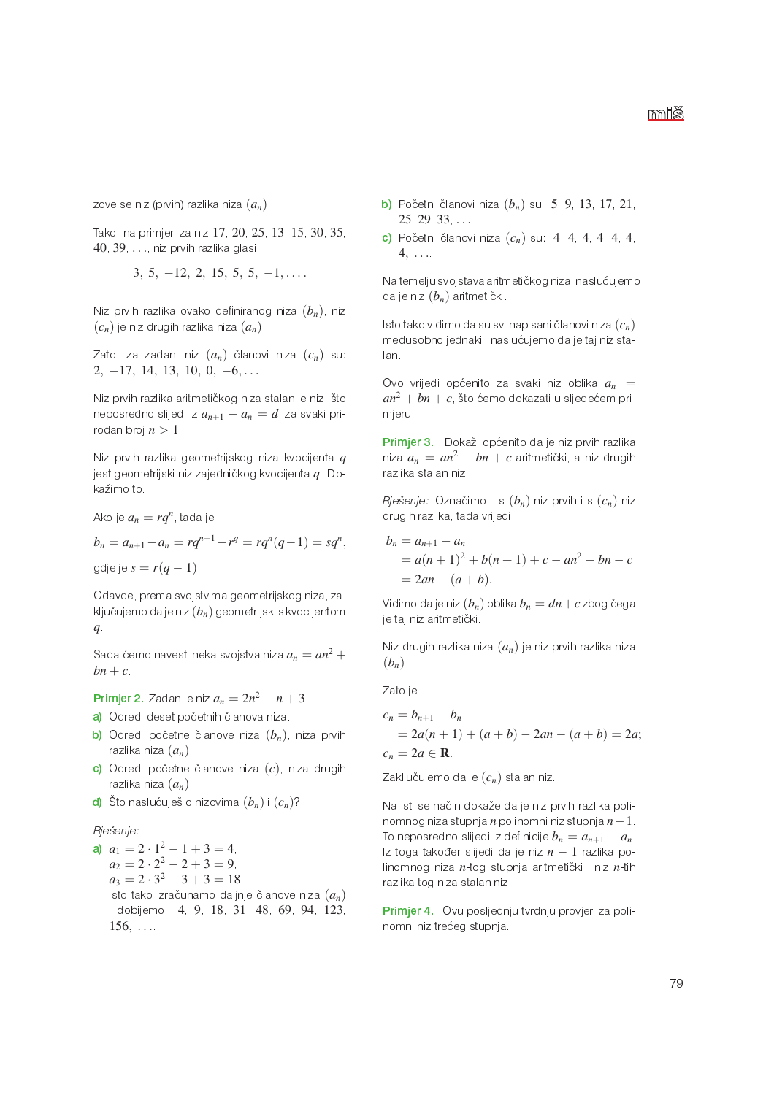zove se niz (prvih) razlika niza  $(a_n)$ .

Tako, na primjer za niz 17 20 25 13 15 30 35 40, 39 . . . . niz prvih razlika glasi:

 $3, 5, -12, 2, 15, 5, 5, -1, \ldots$ 

Niz prvih razlika ovako definiranog niza  $(b_n)$ , niz  $(c_n)$  je niz drugih razlika niza  $(a_n)$ .

Zato, za zadani niz  $(a_n)$  članovi niza  $(c_n)$  su:  $2, -17, 14, 13, 10, 0, -6, \ldots$ 

Niz prvih razlika aritmetičkog niza stalan je niz, što neposredno slijedi iz  $a_{n+1} - a_n = d$  za svaki prirodan broj  $n > 1$ 

Niz prvih razlika geometrijskog niza kvocijenta q jest geometrijski niz zajedničkog kvocijenta *g* Dokažimo to.

Ako je  $a_n = rq^n$ , tada je

 $b_n = a_{n+1} - a_n = rq^{n+1} - r^q = rq^n(q-1) = sq^n$ , gdje je  $s = r(q-1)$ .

Odavde, prema svojstvima geometrijskog niza, zaključujemo da je niz  $(b_n)$  geometrijski s kvocijentom  $q_{\cdot}$ 

Sada ćemo navesti neka svojstva niza  $a_n = an^2 + 1$  $bn + c$ 

**Primjer 2.** Zadan je niz  $a_n = 2n^2 - n + 3$ .

- a) Odredi deset početnih članova niza.
- b) Odredi početne članove niza  $(b_n)$ , niza prvih razlika niza  $(a_n)$ .
- c) Odredi početne članove niza  $(c)$ , niza drugih razlika niza  $(a_n)$
- d) Što naslućuješ o nizovima  $(b_n)$  i  $(c_n)$ ?

## Rješenje:

a)  $a_1 = 2 \cdot 1^2 - 1 + 3 = 4$  $a_2 = 2 \cdot 2^2 - 2 + 3 = 9$  $a_3 = 2 \cdot 3^2 - 3 + 3 = 18$ Isto tako izračunamo daljnje članove niza  $(a_n)$ i dobijemo: 4, 9, 18, 31, 48, 69, 94, 123,  $156, \ldots$ 

- **b**) Početni članovi niza  $(b_n)$  su: 5, 9, 13, 17, 21,  $25, 29, 33, \ldots$
- c) Početni članovi niza  $(c_n)$  su: 4, 4, 4, 4, 4, 4,  $4, \ldots$

Na temelju svojstava aritmetičkog niza, naslućujemo da je niz  $(b_n)$  aritmetički.

Isto tako vidimo da su svi napisani članovi niza  $(c_n)$ međusobno jednaki i naslućujemo da je taj niz stalan.

Ovo vrijedi općenito za svaki niz oblika  $a_n =$  $an^2 + bn + c$ , što ćemo dokazati u sljedećem primjeru.

Primjer 3. Dokaži općenito da je niz prvih razlika niza  $a_n = an^2 + bn + c$  aritmetički, a niz drugih razlika stalan niz

Rješenje: Označimo li s  $(b_n)$  niz prvih i s  $(c_n)$  niz drugih razlika, tada vrijedi:

$$
b_n = a_{n+1} - a_n
$$
  
=  $a(n + 1)^2 + b(n + 1) + c - an^2 - bn - c$   
=  $2an + (a + b)$ .

Vidimo da je niz  $(b_n)$  oblika  $b_n = dn + c$  zbog čega je taj niz aritmetički.

Niz drugih razlika niza  $(a_n)$  je niz prvih razlika niza  $(b_n)$ 

Zato je

$$
c_n = b_{n+1} - b_n
$$
  
= 2a(n + 1) + (a + b) - 2an - (a + b) = 2a;  

$$
c_n = 2a \in \mathbf{R}.
$$

Zaključujemo da je  $(c_n)$  stalan niz.

Na isti se način dokaže da je niz prvih razlika polinomnog niza stupnja n polinomni niz stupnja  $n-1$ . To neposredno slijedi iz definicije  $b_n = a_{n+1} - a_n$ Iz toga također slijedi da je niz  $n-1$  razlika polinomnog niza n-tog stupnja aritmetički i niz n-tih razlika tog niza stalan niz.

Primjer 4. Ovu posljednju tvrdnju provjeri za polinomni niz trećeg stupnja.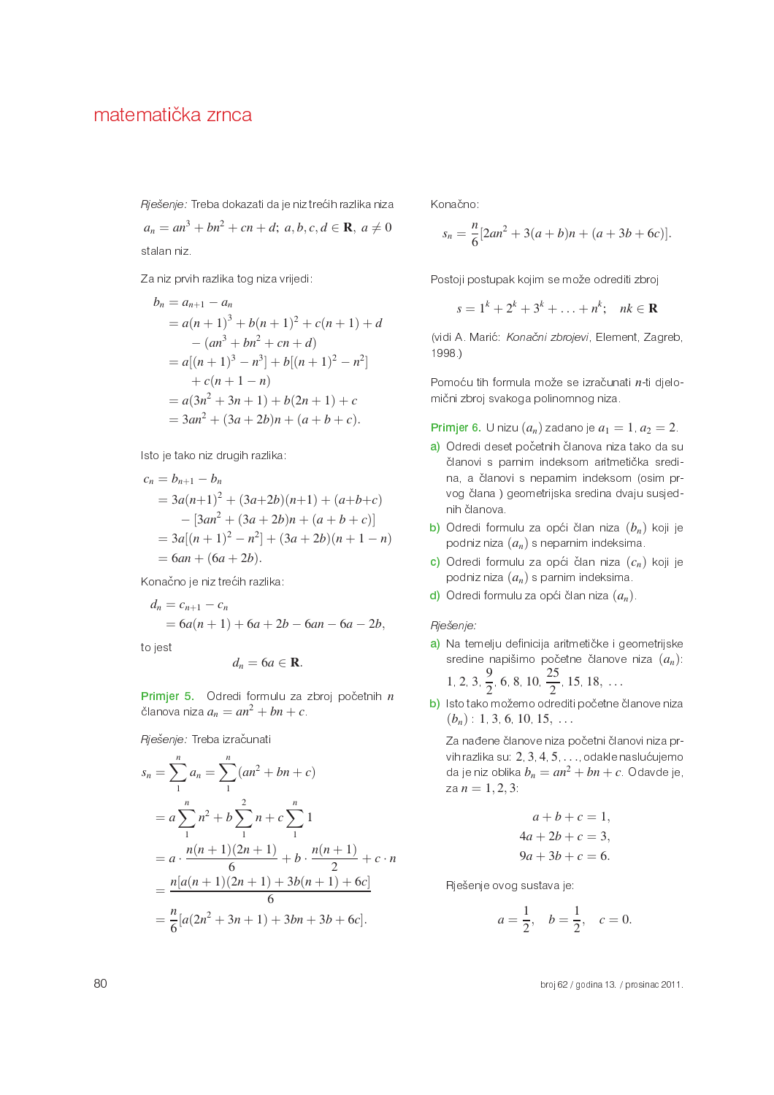Rješenje: Treba dokazati da je niz trećih razlika niza  $a_n = an^3 + bn^2 + cn + d$ ;  $a, b, c, d \in \mathbb{R}, a \neq 0$ 

stalan niz.

Za niz prvih razlika tog niza vrijedi:

$$
b_n = a_{n+1} - a_n
$$
  
=  $a(n + 1)^3 + b(n + 1)^2 + c(n + 1) + d$   
 $- (an^3 + bn^2 + cn + d)$   
=  $a[(n + 1)^3 - n^3] + b[(n + 1)^2 - n^2]$   
 $+ c(n + 1 - n)$   
=  $a(3n^2 + 3n + 1) + b(2n + 1) + c$   
=  $3an^2 + (3a + 2b)n + (a + b + c)$ .

Isto je tako niz drugih razlika:

$$
c_n = b_{n+1} - b_n
$$
  
=  $3a(n+1)^2 + (3a+2b)(n+1) + (a+b+c)$   
 $- [3an^2 + (3a+2b)n + (a+b+c)]$   
=  $3a[(n+1)^2 - n^2] + (3a+2b)(n+1-n)$   
=  $6an + (6a+2b)$ .

Konačno je niz trećih razlika:

$$
d_n = c_{n+1} - c_n
$$
  
=  $6a(n + 1) + 6a + 2b - 6an - 6a - 2b$ ,

to jest

$$
d_n = 6a \in \mathbf{R}
$$

Primjer 5. Odredi formulu za zbroj početnih  $n$ članova niza  $a_n = an^2 + bn + c$ .

Rješenje: Treba izračunati

$$
s_n = \sum_{1}^{n} a_n = \sum_{1}^{n} (an^2 + bn + c)
$$
  
=  $a \sum_{1}^{n} n^2 + b \sum_{1}^{n} n + c \sum_{1}^{n} 1$   
=  $a \cdot \frac{n(n+1)(2n+1)}{6} + b \cdot \frac{n(n+1)}{2} + c \cdot n$   
=  $\frac{n[a(n+1)(2n+1) + 3b(n+1) + 6c]}{6}$   
=  $\frac{n}{6} [a(2n^2 + 3n + 1) + 3bn + 3b + 6c].$ 

Konačno:

$$
s_n = \frac{n}{6} [2an^2 + 3(a+b)n + (a+3b+6c)].
$$

Postoji postupak kojim se može odrediti zbroj

 $s = 1^k + 2^k + 3^k + \ldots + n^k; \quad nk \in \mathbb{R}$ 

(vidi A. Marić: Konačni zbrojevi, Element, Zagreb, 1998.)

Pomoću tih formula može se izračunati n-ti djelomični zbroj svakoga polinomnog niza.

**Primjer 6.** U nizu  $(a_n)$  zadano je  $a_1 = 1$ ,  $a_2 = 2$ .

- a) Odredi deset početnih članova niza tako da su članovi s parnim indeksom aritmetička sredina, a članovi s neparnim indeksom (osim prvog člana) geometrijska sredina dvaju susjednih članova.
- b) Odredi formulu za opći član niza  $(b_n)$  koji je podniz niza  $(a_n)$  s neparnim indeksima.
- c) Odredi formulu za opći član niza  $(c_n)$  koji je podniz niza  $(a_n)$  s parnim indeksima.
- d) Odredi formulu za opći član niza  $(a_n)$ .

Riešenie:

- a) Na temelju definicija aritmetičke i geometrijske sredine napišimo početne članove niza  $(a_n)$ : 1 2 3  $\frac{9}{2}$  6 8 10  $\frac{25}{2}$  15 18, ...
- b) Isto tako možemo odrediti početne članove niza  $(b_n)$  1 3 6 10 15, ...

Za nađene članove niza početni članovi niza prvih razlika su: 2, 3, 4, 5, ..., odakle naslućujemo da je niz oblika  $b_n = an^2 + bn + c$ . Odavde je, za  $n = 1, 2, 3$ 

$$
a+b+c = 1,
$$
  
\n
$$
4a+2b+c = 3,
$$
  
\n
$$
9a+3b+c = 6.
$$

Rješenje ovog sustava je:

$$
a = \frac{1}{2}
$$
,  $b = \frac{1}{2}$ ,  $c = 0$ .